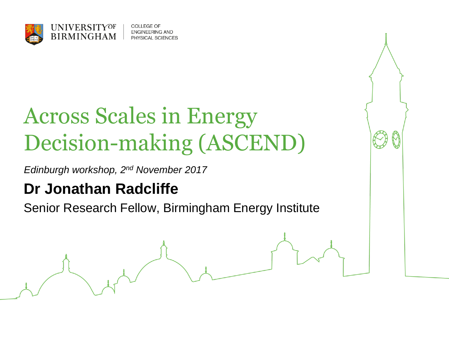

COLLEGE OF **ENGINEERING AND** PHYSICAL SCIENCES

# Across Scales in Energy Decision-making (ASCEND)

*Edinburgh workshop, 2nd November 2017*

### **Dr Jonathan Radcliffe**

Senior Research Fellow, Birmingham Energy Institute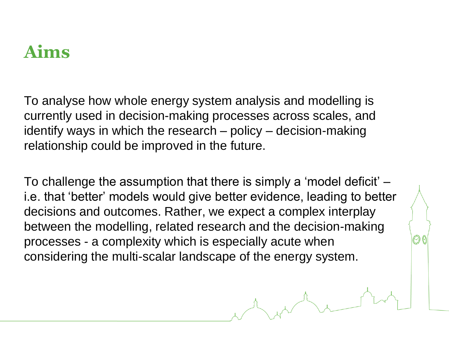### **Aims**

To analyse how whole energy system analysis and modelling is currently used in decision-making processes across scales, and identify ways in which the research – policy – decision-making relationship could be improved in the future.

To challenge the assumption that there is simply a 'model deficit' – i.e. that 'better' models would give better evidence, leading to better decisions and outcomes. Rather, we expect a complex interplay between the modelling, related research and the decision-making processes - a complexity which is especially acute when considering the multi-scalar landscape of the energy system.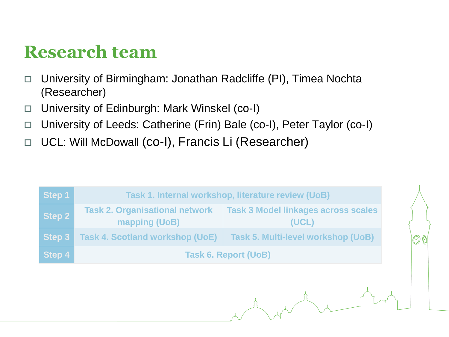### **Research team**

- □ University of Birmingham: Jonathan Radcliffe (PI), Timea Nochta (Researcher)
- □ University of Edinburgh: Mark Winskel (co-I)
- □ University of Leeds: Catherine (Frin) Bale (co-I), Peter Taylor (co-I)
- □ UCL: Will McDowall (co-I), Francis Li (Researcher)

| Step 1 | Task 1. Internal workshop, literature review (UoB)     |                                                     |
|--------|--------------------------------------------------------|-----------------------------------------------------|
| Step 2 | <b>Task 2. Organisational network</b><br>mapping (UoB) | <b>Task 3 Model linkages across scales</b><br>(UCL) |
| Step 3 | <b>Task 4. Scotland workshop (UoE)</b>                 | <b>Task 5. Multi-level workshop (UoB)</b>           |
| Step 4 | <b>Task 6. Report (UoB)</b>                            |                                                     |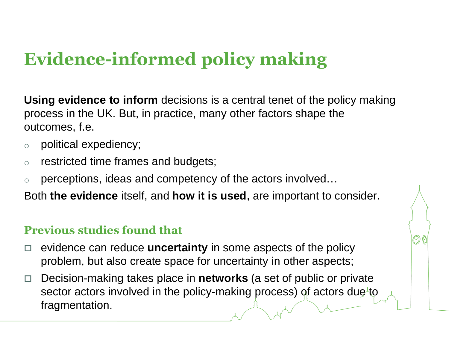## **Evidence-informed policy making**

**Using evidence to inform** decisions is a central tenet of the policy making process in the UK. But, in practice, many other factors shape the outcomes, f.e.

- o political expediency;
- o restricted time frames and budgets;
- perceptions, ideas and competency of the actors involved...

Both **the evidence** itself, and **how it is used**, are important to consider.

#### **Previous studies found that**

- □ evidence can reduce **uncertainty** in some aspects of the policy problem, but also create space for uncertainty in other aspects;
- Decision-making takes place in **networks** (a set of public or private sector actors involved in the policy-making process) of actors due to fragmentation.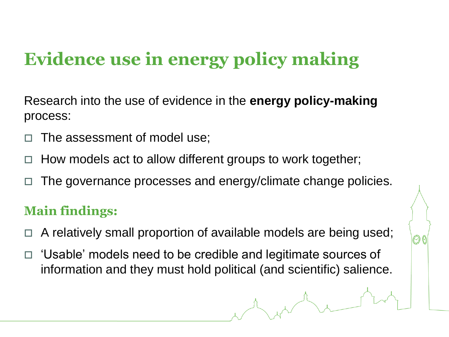## **Evidence use in energy policy making**

Research into the use of evidence in the **energy policy-making**  process:

- The assessment of model use;
- $\Box$  How models act to allow different groups to work together;
- $\Box$  The governance processes and energy/climate change policies.

#### **Main findings:**

- $\Box$  A relatively small proportion of available models are being used;
- □ 'Usable' models need to be credible and legitimate sources of information and they must hold political (and scientific) salience.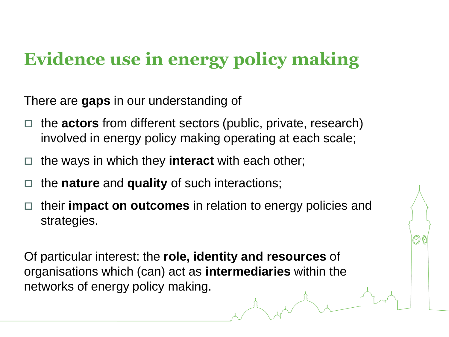### **Evidence use in energy policy making**

There are **gaps** in our understanding of

- □ the **actors** from different sectors (public, private, research) involved in energy policy making operating at each scale;
- □ the ways in which they **interact** with each other;
- □ the **nature** and **quality** of such interactions;
- their **impact on outcomes** in relation to energy policies and strategies.

Of particular interest: the **role, identity and resources** of organisations which (can) act as **intermediaries** within the networks of energy policy making.